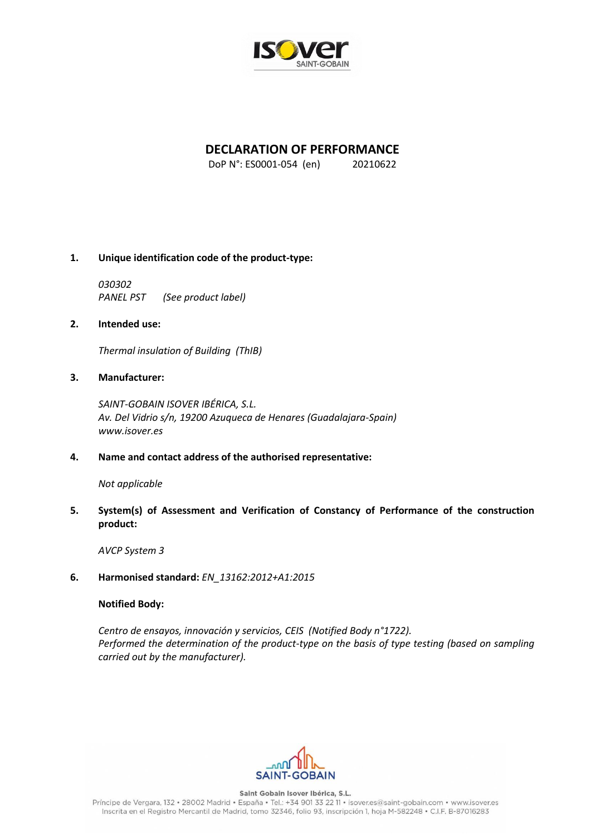

# **DECLARATION OF PERFORMANCE**

DoP N°: ES0001-054 (en) 20210622

## **1. Unique identification code of the product-type:**

*030302 PANEL PST (See product label)*

## **2. Intended use:**

*Thermal insulation of Building (ThIB)*

## **3. Manufacturer:**

*SAINT-GOBAIN ISOVER IBÉRICA, S.L. Av. Del Vidrio s/n, 19200 Azuqueca de Henares (Guadalajara-Spain) www.isover.es*

## **4. Name and contact address of the authorised representative:**

*Not applicable*

## **5. System(s) of Assessment and Verification of Constancy of Performance of the construction product:**

*AVCP System 3*

**6. Harmonised standard:** *EN\_13162:2012+A1:2015*

## **Notified Body:**

*Centro de ensayos, innovación y servicios, CEIS (Notified Body n°1722). Performed the determination of the product-type on the basis of type testing (based on sampling carried out by the manufacturer).*



Saint Gobain Isover Ibérica, S.L. Príncipe de Vergara, 132 · 28002 Madrid · España · Tel.: +34 901 33 22 11 · isover.es@saint-gobain.com · www.isover.es Inscrita en el Registro Mercantil de Madrid, tomo 32346, folio 93, inscripción 1, hoja M-582248 • C.I.F. B-87016283